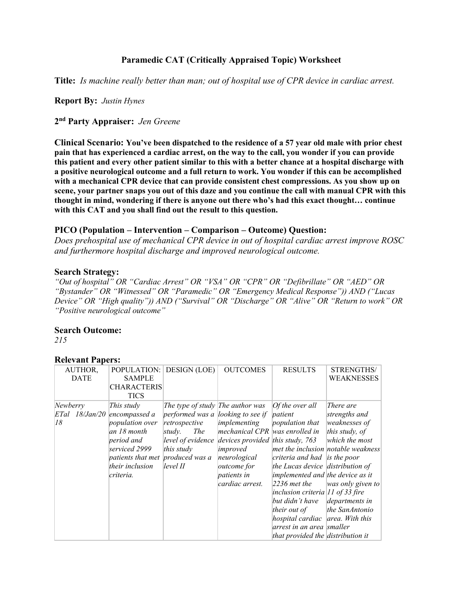# **Paramedic CAT (Critically Appraised Topic) Worksheet**

**Title:** *Is machine really better than man; out of hospital use of CPR device in cardiac arrest.*

**Report By:** *Justin Hynes*

**2 nd Party Appraiser:** *Jen Greene*

**Clinical Scenario: You've been dispatched to the residence of a 57 year old male with prior chest pain that has experienced a cardiac arrest, on the way to the call, you wonder if you can provide this patient and every other patient similar to this with a better chance at a hospital discharge with a positive neurological outcome and a full return to work. You wonder if this can be accomplished with a mechanical CPR device that can provide consistent chest compressions. As you show up on scene, your partner snaps you out of this daze and you continue the call with manual CPR with this thought in mind, wondering if there is anyone out there who's had this exact thought… continue with this CAT and you shall find out the result to this question.**

## **PICO (Population – Intervention – Comparison – Outcome) Question:**

*Does prehospital use of mechanical CPR device in out of hospital cardiac arrest improve ROSC and furthermore hospital discharge and improved neurological outcome.*

### **Search Strategy:**

*"Out of hospital" OR "Cardiac Arrest" OR "VSA" OR "CPR" OR "Defibrillate" OR "AED" OR "Bystander" OR "Witnessed" OR "Paramedic" OR "Emergency Medical Response")) AND ("Lucas Device" OR "High quality")) AND ("Survival" OR "Discharge" OR "Alive" OR "Return to work" OR "Positive neurological outcome"*

#### **Search Outcome:**

*215*

### **Relevant Papers:**

| AUTHOR,        | POPULATION:                      | <b>DESIGN</b> (LOE)                           | <b>OUTCOMES</b>                                      | <b>RESULTS</b>                     | STRENGTHS/                         |
|----------------|----------------------------------|-----------------------------------------------|------------------------------------------------------|------------------------------------|------------------------------------|
| <b>DATE</b>    | <b>SAMPLE</b>                    |                                               |                                                      |                                    | WEAKNESSES                         |
|                | <b>CHARACTERIS</b>               |                                               |                                                      |                                    |                                    |
|                | <b>TICS</b>                      |                                               |                                                      |                                    |                                    |
| Newberry       | This study                       | The type of study $\mathbb{R}$ The author was |                                                      | [Of the over all]                  | There are                          |
| ETal 18/Jan/20 | encompassed a                    | performed was a looking to see if             |                                                      | patient                            | strengths and                      |
| 18             | <i>population over</i>           | retrospective                                 | implementing                                         | <i>population that</i>             | weaknesses of                      |
|                | lan 18 month                     | study.<br><i>The</i>                          | mechanical CPR was enrolled in                       |                                    | this study, $of$                   |
|                | period and                       |                                               | level of evidence devices provided this study, $763$ |                                    | which the most                     |
|                | serviced 2999                    | this study                                    | improved                                             |                                    | met the inclusion notable weakness |
|                | patients that met produced was a |                                               | neurological                                         | criteria and had is the poor       |                                    |
|                | their inclusion                  | level II                                      | <i>outcome for</i>                                   | the Lucas device distribution of   |                                    |
|                | criteria.                        |                                               | <i>patients in</i>                                   | implemented and the device as it   |                                    |
|                |                                  |                                               | cardiac arrest.                                      | $2236$ met the                     | was only given to                  |
|                |                                  |                                               |                                                      | inclusion criteria $11$ of 33 fire |                                    |
|                |                                  |                                               |                                                      | but didn't have                    | departments in                     |
|                |                                  |                                               |                                                      | <i>their out of</i>                | the SanAntonio                     |
|                |                                  |                                               |                                                      | hospital cardiac area. With this   |                                    |
|                |                                  |                                               |                                                      | arrest in an area smaller          |                                    |
|                |                                  |                                               |                                                      | that provided the distribution it  |                                    |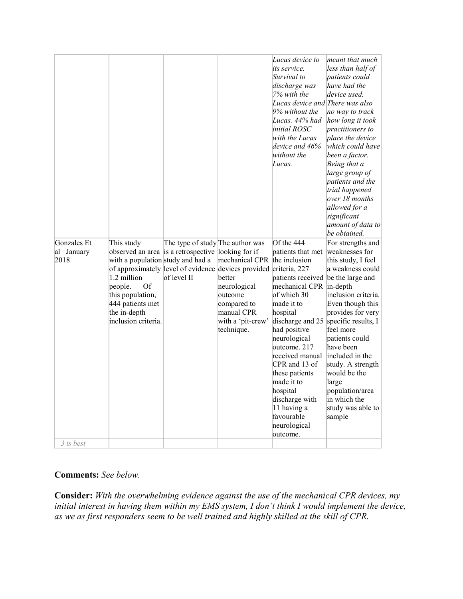|                                   |                                                                                                                                                                                                                      |                                                 |                                                                                                                                                                                          | Lucas device to<br>its service.<br>Survival to<br>discharge was<br>7% with the<br>Lucas device and There was also<br>9% without the<br>Lucas. 44% had<br>initial ROSC<br>with the Lucas<br>device and 46%<br>without the<br>Lucas.                                                                                                                                                        | meant that much<br>less than half of<br>patients could<br>have had the<br>device used.<br>no way to track<br>how long it took<br><i>practitioners to</i><br>place the device<br>which could have<br>been a factor.<br>Being that a<br>large group of<br>patients and the<br>trial happened<br>over 18 months<br>allowed for a<br>significant<br>amount of data to<br>be obtained. |
|-----------------------------------|----------------------------------------------------------------------------------------------------------------------------------------------------------------------------------------------------------------------|-------------------------------------------------|------------------------------------------------------------------------------------------------------------------------------------------------------------------------------------------|-------------------------------------------------------------------------------------------------------------------------------------------------------------------------------------------------------------------------------------------------------------------------------------------------------------------------------------------------------------------------------------------|-----------------------------------------------------------------------------------------------------------------------------------------------------------------------------------------------------------------------------------------------------------------------------------------------------------------------------------------------------------------------------------|
| Gonzales Et<br>al January<br>2018 | This study<br>observed an area is a retrospective looking for if<br>with a population study and had a<br>1.2 million<br>Of<br>people.<br>this population,<br>444 patients met<br>the in-depth<br>inclusion criteria. | The type of study The author was<br>of level II | mechanical CPR<br>of approximately level of evidence devices provided criteria, 227<br>better<br>neurological<br>outcome<br>compared to<br>manual CPR<br>with a 'pit-crew'<br>technique. | Of the 444<br>patients that met<br>the inclusion<br>patients received be the large and<br>mechanical CPR in-depth<br>of which 30<br>made it to<br>hospital<br>discharge and 25<br>had positive<br>neurological<br>outcome. 217<br>received manual<br>CPR and 13 of<br>these patients<br>made it to<br>hospital<br>discharge with<br>11 having a<br>favourable<br>neurological<br>outcome. | For strengths and<br>weaknesses for<br>this study, I feel<br>a weakness could<br>inclusion criteria.<br>Even though this<br>provides for very<br>specific results, I<br>feel more<br>patients could<br>have been<br>included in the<br>study. A strength<br>would be the<br>large<br>population/area<br>in which the<br>study was able to<br>sample                               |
| 3 is best                         |                                                                                                                                                                                                                      |                                                 |                                                                                                                                                                                          |                                                                                                                                                                                                                                                                                                                                                                                           |                                                                                                                                                                                                                                                                                                                                                                                   |

# **Comments:** *See below.*

**Consider:** *With the overwhelming evidence against the use of the mechanical CPR devices, my*  initial interest in having them within my EMS system, I don't think I would implement the device, *as we as first responders seem to be well trained and highly skilled at the skill of CPR.*